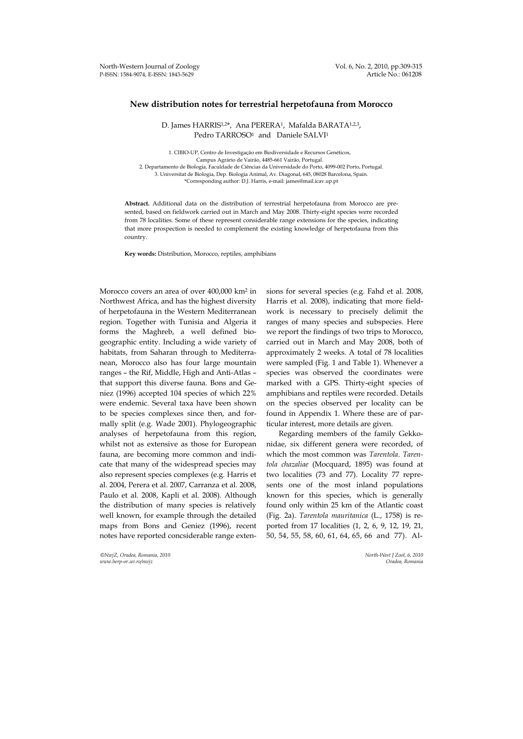## **New distribution notes for terrestrial herpetofauna from Morocco**

D. James HARRIS<sup>1,2\*</sup>, Ana PERERA<sup>1</sup>, Mafalda BARATA<sup>1,2,3</sup>, Pedro TARROSO<sup>1</sup> and Daniele SALVI<sup>1</sup>

1. CIBIO-UP, Centro de Investigação em Biodiversidade e Recursos Genéticos, Campus Agrário de Vairão, 4485-661 Vairão, Portugal. 2. Departamento de Biologia, Faculdade de Ciências da Universidade do Porto, 4099-002 Porto, Portugal. 3. Universitat de Biologia, Dep. Biologia Animal, Av. Diagonal, 645, 08028 Barcelona, Spain. \*Corresponding author: D.J. Harris, e-mail: james@mail.icav.up.pt

**Abstract.** Additional data on the distribution of terrestrial herpetofauna from Morocco are presented, based on fieldwork carried out in March and May 2008. Thirty-eight species were recorded from 78 localities. Some of these represent considerable range extensions for the species, indicating that more prospection is needed to complement the existing knowledge of herpetofauna from this country.

**Key words:** Distribution, Morocco, reptiles, amphibians

Morocco covers an area of over 400,000 km2 in Northwest Africa, and has the highest diversity of herpetofauna in the Western Mediterranean region. Together with Tunisia and Algeria it forms the Maghreb, a well defined biogeographic entity. Including a wide variety of habitats, from Saharan through to Mediterranean, Morocco also has four large mountain ranges – the Rif, Middle, High and Anti-Atlas – that support this diverse fauna. Bons and Geniez (1996) accepted 104 species of which 22% were endemic. Several taxa have been shown to be species complexes since then, and formally split (e.g. Wade 2001). Phylogeographic analyses of herpetofauna from this region, whilst not as extensive as those for European fauna, are becoming more common and indicate that many of the widespread species may also represent species complexes (e.g. Harris et al. 2004, Perera et al. 2007, Carranza et al. 2008, Paulo et al. 2008, Kapli et al. 2008). Although the distribution of many species is relatively well known, for example through the detailed maps from Bons and Geniez (1996), recent notes have reported concsiderable range exten-

*©NwjZ, Oradea, Romania, 2010 North-West J Zool, 6, 2010 www.herp-or.uv.ro/nwjz Oradea, Romania*

sions for several species (e.g. Fahd et al. 2008, Harris et al. 2008), indicating that more fieldwork is necessary to precisely delimit the ranges of many species and subspecies. Here we report the findings of two trips to Morocco, carried out in March and May 2008, both of approximately 2 weeks. A total of 78 localities were sampled (Fig. 1 and Table 1). Whenever a species was observed the coordinates were marked with a GPS. Thirty-eight species of amphibians and reptiles were recorded. Details on the species observed per locality can be found in Appendix 1. Where these are of particular interest, more details are given.

Regarding members of the family Gekkonidae, six different genera were recorded, of which the most common was *Tarentola*. *Tarentola chazaliae* (Mocquard, 1895) was found at two localities (73 and 77). Locality 77 represents one of the most inland populations known for this species, which is generally found only within 25 km of the Atlantic coast (Fig. 2a). *Tarentola mauritanica* (L., 1758) is reported from 17 localities (1, 2, 6, 9, 12, 19, 21, 50, 54, 55, 58, 60, 61, 64, 65, 66 and 77). Al-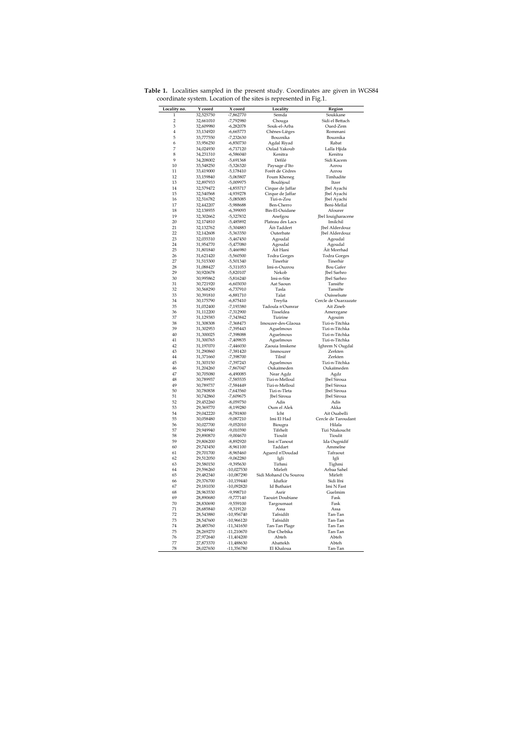| Locality no.   | Y coord                | X coord                    | Locality                    | Region                              |  |  |  |  |  |  |  |  |
|----------------|------------------------|----------------------------|-----------------------------|-------------------------------------|--|--|--|--|--|--|--|--|
| $\mathbf{1}$   | 32,525750              | $-7,862770$                | Semda                       | Soukkane                            |  |  |  |  |  |  |  |  |
| $\overline{2}$ | 32,661010              | -7,792980                  | Chouga                      | Sidi el Bettach                     |  |  |  |  |  |  |  |  |
| 3              | 32,609980              | $-6,282078$                | Souk-el-Arba                | Oued-Zem                            |  |  |  |  |  |  |  |  |
| $\overline{4}$ | 33,134920              | $-6,665773$                | Chênes-Lièges               | Rommani                             |  |  |  |  |  |  |  |  |
| 5              | 33,777550              | $-7,232630$                | Bouznika                    | Bouznika                            |  |  |  |  |  |  |  |  |
| 6<br>7         | 33,956250              | $-6,850730$<br>$-6,717120$ | Agdal Riyad<br>Oulad Yakoub | Rabat<br>Lalla Hjida                |  |  |  |  |  |  |  |  |
| 8              | 34,024930<br>34,231310 | $-6,586040$                | Kenitra                     | Kenitra                             |  |  |  |  |  |  |  |  |
| 9              | 34,208002              | $-5,691368$                | Défilé                      | Sidi Kacem                          |  |  |  |  |  |  |  |  |
| 10             | 33,548250              | $-5,326320$                | Paysage d'Ito               | Azrou                               |  |  |  |  |  |  |  |  |
| 11             | 33,419000              | $-5,178410$                | Forêt de Cèdres             | Azrou                               |  |  |  |  |  |  |  |  |
| 12             | 33,159840              | -5,065807                  | Foum Kheneg                 | Timhadite                           |  |  |  |  |  |  |  |  |
| 13             | 32.897933              | -5,009975                  | Boulôjoul                   | Itzer                               |  |  |  |  |  |  |  |  |
| 14             | 32,579472              | -4.855717                  | Cirque de Jaffar            | Jbel Ayachi                         |  |  |  |  |  |  |  |  |
| 15             | 32,540568              | -4,939278                  | Cirque de Jaffar            | Jbel Ayachi                         |  |  |  |  |  |  |  |  |
| 16             | 32,516782              | -5,085085                  | Tizi-n-Zou                  | Jbel Ayachi                         |  |  |  |  |  |  |  |  |
| 17             | 32,442207              | -5.988688                  | Ben-Cherro                  | Beni-Mellal                         |  |  |  |  |  |  |  |  |
| 18             | 32,138935              | $-6,399093$                | Bin-El-Ouidane              | Afourer                             |  |  |  |  |  |  |  |  |
| 19<br>20       | 32,302662              | -5,327832                  | Anefgou                     | Jbel Iouigharacene                  |  |  |  |  |  |  |  |  |
| 21             | 32,174810              | -5,485892<br>-5,304883     | Plateau des Lacs            | Imilchil                            |  |  |  |  |  |  |  |  |
| 22             | 32,132762<br>32,142608 | $-5,363350$                | Äit-Taddert<br>Outerbate    | Jbel Alderdouz<br>Jbel Alderdouz    |  |  |  |  |  |  |  |  |
| 23             | 32,035310              | $-5,467450$                | Agoudal                     | Agoudal                             |  |  |  |  |  |  |  |  |
| 24             | 31,954770              | $-5,477080$                | Agoudal                     | Agoudal                             |  |  |  |  |  |  |  |  |
| 25             | 31,801840              | -5,466980                  | Âit Hani                    | Āit Morrhad                         |  |  |  |  |  |  |  |  |
| 26             | 31.621420              | $-5.560500$                | <b>Todra Gorges</b>         | Todra Gorges                        |  |  |  |  |  |  |  |  |
| 27             | 31,515300              | $-5,501340$                | Tinerhir                    | Tinerhir                            |  |  |  |  |  |  |  |  |
| 28             | 31,088427              | $-5,311053$                | Imi-n-Ouzrou                | <b>Bou Gafer</b>                    |  |  |  |  |  |  |  |  |
| 29             | 30,920678              | $-5,820107$                | Nekob                       | Jbel Sarhro                         |  |  |  |  |  |  |  |  |
| 30             | 30,995862              | $-5,816240$                | Imi-n-Site                  | <b>Jbel Sarhro</b>                  |  |  |  |  |  |  |  |  |
| 31             | 30.721920              | $-6.603030$                | Aat Saoun                   | Tansifte                            |  |  |  |  |  |  |  |  |
| 32             | 30,568290              | $-6,737910$                | Tasla                       | Tansifte                            |  |  |  |  |  |  |  |  |
| 33<br>34       | 30,391810<br>30,175790 | $-6,881710$<br>$-6,875410$ | Talat<br>Treyfia            | Ouisselsate<br>Cercle de Ouarzazate |  |  |  |  |  |  |  |  |
| 35             | 31.032400              | -7,193380                  | Tadoula n'Oumrar            | Ait Zineb                           |  |  |  |  |  |  |  |  |
| 36             | 31,112200              | -7,312900                  | Tisseldea                   | Amerzgane                           |  |  |  |  |  |  |  |  |
| 37             | 31,129383              | $-7,343842$                | Tizirine                    | Agouim                              |  |  |  |  |  |  |  |  |
| 38             | 31,308308              | $-7,368473$                | Imouzer-des-Glaoua          | Tizi-n-Titchka                      |  |  |  |  |  |  |  |  |
| 39             | 31,302953              | -7,395443                  | Aguelmous                   | Tizi-n-Titchka                      |  |  |  |  |  |  |  |  |
| 40             | 31,300025              | -7,398088                  | Aguelmous                   | Tizi-n-Titchka                      |  |  |  |  |  |  |  |  |
| 41             | 31,300765              | $-7,409835$                | Aguelmous                   | Tizi-n-Titchka                      |  |  |  |  |  |  |  |  |
| 42             | 31,197070              | $-7,446030$                | Zaouia Imskene              | Ighrem N Ougdal                     |  |  |  |  |  |  |  |  |
| 43<br>44       | 31,290860<br>31,371660 | $-7.381420$<br>-7,398700   | Immouzer<br>Tilnif          | Zerkten<br>Zerkten                  |  |  |  |  |  |  |  |  |
| 45             | 31,303150              | -7,397243                  | Aguelmous                   | Tizi-n-Titchka                      |  |  |  |  |  |  |  |  |
| 46             | 31,204260              | -7,867047                  | Oukaïmeden                  | Oukaïmeden                          |  |  |  |  |  |  |  |  |
| 47             | 30,705080              | $-6,490085$                | Near Agdz                   | Agdz                                |  |  |  |  |  |  |  |  |
| 48             | 30,789937              | -7,585535                  | Tizi-n-Melloul              | <b>Ibel Siroua</b>                  |  |  |  |  |  |  |  |  |
| 49             | 30,789737              | -7,584449                  | Tizi-n-Melloul              | <b>Jbel Siroua</b>                  |  |  |  |  |  |  |  |  |
| 50             | 30,780838              | $-7,643560$                | Tizi-n-Tleta                | Jbel Siroua                         |  |  |  |  |  |  |  |  |
| 51             | 30.742860              | -7.609675                  | Jbel Siroua                 | Jbel Siroua                         |  |  |  |  |  |  |  |  |
| 52             | 29.452260              | $-8.059750$                | Adis                        | Adis                                |  |  |  |  |  |  |  |  |
| 53             | 29,369770              | $-8,199280$                | Oum el Alek                 | Akka                                |  |  |  |  |  |  |  |  |
| 54             | 29,042220              | $-8,781800$                | Icht                        | Ait Ouabelli                        |  |  |  |  |  |  |  |  |
| 55<br>56       | 30,058480<br>30,027700 | $-9,087210$<br>$-9.052010$ | Imi El Had<br>Biougra       | Cercle de Taroudant<br>Hilala       |  |  |  |  |  |  |  |  |
| 57             | 29,949940              | -9,010390                  | Tifrhelt                    | Tizi Ntakoucht                      |  |  |  |  |  |  |  |  |
| 58             | 29,890870              | $-9,004670$                | Tioulit                     | Tioulit                             |  |  |  |  |  |  |  |  |
| 59             | 29,806200              | $-8,892920$                | Imi n'Tanout                | Ida Ougnidif                        |  |  |  |  |  |  |  |  |
| 60             | 29,743450              | $-8,961100$                | Taddart                     | Ammelne                             |  |  |  |  |  |  |  |  |
| 61             | 29,701700              | $-8,965460$                | Aguerd n'Doudad             | Tafraout                            |  |  |  |  |  |  |  |  |
| 62             | 29,512050              | $-9,062280$                | Igli                        | Igli                                |  |  |  |  |  |  |  |  |
| 63             | 29,580150              | -9,395630                  | Tirhmi                      | Tighmi                              |  |  |  |  |  |  |  |  |
| 64             | 29,596260              | -10,027530                 | Mirleft                     | Arbaa Sahel                         |  |  |  |  |  |  |  |  |
| 65             | 29,482340              | -10,087290                 | Sidi Mohand Ou Sourou       | Mirleft                             |  |  |  |  |  |  |  |  |
| 66             | 29,376700              | $-10,159440$               | Idufkir                     | Sidi Ifni                           |  |  |  |  |  |  |  |  |
| 67<br>68       | 29,181030              | -10,092820                 | <b>Id Buthaiet</b>          | Imi N Fast                          |  |  |  |  |  |  |  |  |
| 69             | 28,963530<br>28,890680 | -9,998710<br>$-9,777140$   | Asrir<br>Taouirt Doubiane   | Guelmim<br>Fask                     |  |  |  |  |  |  |  |  |
| 70             | 28,830690              | -9,559100                  | Targoumaat                  | Fask                                |  |  |  |  |  |  |  |  |
| 71             | 28,685840              | -9,319120                  | Assa                        | Assa                                |  |  |  |  |  |  |  |  |
| 72             | 28,543880              | $-10,956740$               | Tafnidilt                   | Tan-Tan                             |  |  |  |  |  |  |  |  |
| 73             | 28,547600              | $-10,966120$               | Tafnidilt                   | Tan-Tan                             |  |  |  |  |  |  |  |  |
| 74             | 28,485760              | $-11,341650$               | Tan-Tan Plage               | Tan-Tan                             |  |  |  |  |  |  |  |  |
| 75             | 28,269270              | $-11,210670$               | Dar Chebika                 | Tan-Tan                             |  |  |  |  |  |  |  |  |
| 76             | 27,972640              | $-11,404200$               | Abteh                       | Abteh                               |  |  |  |  |  |  |  |  |
| 77             | 27,873370              | $-11,488630$               | Abattekh                    | Abteh                               |  |  |  |  |  |  |  |  |
| 78             | 28,027650              | -11,356780                 | El Khaloua                  | Tan-Tan                             |  |  |  |  |  |  |  |  |

**Table 1.** Localities sampled in the present study. Coordinates are given in WGS84 coordinate system. Location of the sites is represented in Fig.1.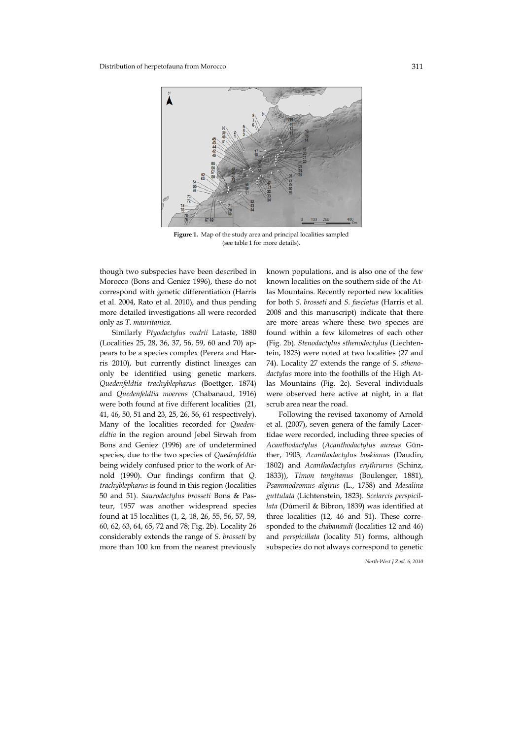

**Figure 1.** Map of the study area and principal localities sampled (see table 1 for more details).

though two subspecies have been described in Morocco (Bons and Geniez 1996), these do not correspond with genetic differentiation (Harris et al. 2004, Rato et al. 2010), and thus pending more detailed investigations all were recorded only as *T. mauritanica*.

Similarly *Ptyodactylus oudrii* Lataste, 1880 (Localities 25, 28, 36, 37, 56, 59, 60 and 70) appears to be a species complex (Perera and Harris 2010), but currently distinct lineages can only be identified using genetic markers. *Quedenfeldtia trachyblepharus* (Boettger, 1874) and *Quedenfeldtia moerens* (Chabanaud, 1916) were both found at five different localities (21, 41, 46, 50, 51 and 23, 25, 26, 56, 61 respectively). Many of the localities recorded for *Quedeneldtia* in the region around Jebel Sirwah from Bons and Geniez (1996) are of undetermined species, due to the two species of *Quedenfeldtia* being widely confused prior to the work of Arnold (1990). Our findings confirm that *Q. trachyblepharus* is found in this region (localities 50 and 51). *Saurodactylus brosseti* Bons & Pasteur, 1957 was another widespread species found at 15 localities (1, 2, 18, 26, 55, 56, 57, 59, 60, 62, 63, 64, 65, 72 and 78; Fig. 2b). Locality 26 considerably extends the range of *S. brosseti* by more than 100 km from the nearest previously

known populations, and is also one of the few known localities on the southern side of the Atlas Mountains. Recently reported new localities for both *S. brosseti* and *S. fasciatus* (Harris et al. 2008 and this manuscript) indicate that there are more areas where these two species are found within a few kilometres of each other (Fig. 2b). *Stenodactylus sthenodactylus* (Liechtentein, 1823) were noted at two localities (27 and 74). Locality 27 extends the range of *S. sthenodactylus* more into the foothills of the High Atlas Mountains (Fig. 2c). Several individuals were observed here active at night, in a flat scrub area near the road.

Following the revised taxonomy of Arnold et al. (2007), seven genera of the family Lacertidae were recorded, including three species of *Acanthodactylus* (*Acanthodactylus aureus* Günther, 1903*, Acanthodactylus boskianus* (Daudin, 1802) and *Acanthodactylus erythrurus* (Schinz, 1833)), *Timon tangitanus* (Boulenger, 1881), *Psammodromus algirus* (L., 1758) and *Mesalina guttulata* (Lichtenstein, 1823). *Scelarcis perspicillata* (Dúmeril & Bibron, 1839) was identified at three localities (12, 46 and 51). These corresponded to the *chabanaudi* (localities 12 and 46) and *perspicillata* (locality 51) forms, although subspecies do not always correspond to genetic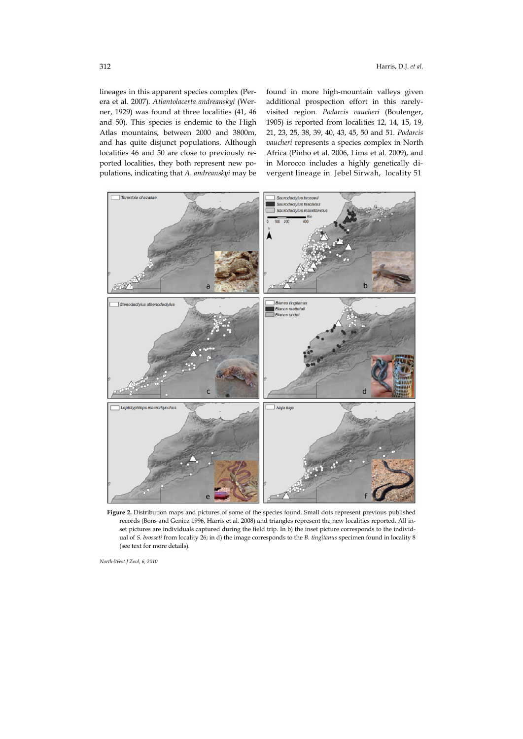lineages in this apparent species complex (Perera et al. 2007). *Atlantolacerta andreanskyi* (Werner, 1929) was found at three localities (41, 46 and 50). This species is endemic to the High Atlas mountains, between 2000 and 3800m, and has quite disjunct populations. Although localities 46 and 50 are close to previously reported localities, they both represent new populations, indicating that *A. andreanskyi* may be

found in more high-mountain valleys given additional prospection effort in this rarelyvisited region. *Podarcis vaucheri* (Boulenger, 1905) is reported from localities 12, 14, 15, 19, 21, 23, 25, 38, 39, 40, 43, 45, 50 and 51. *Podarcis vaucheri* represents a species complex in North Africa (Pinho et al. 2006, Lima et al. 2009), and in Morocco includes a highly genetically divergent lineage in Jebel Sirwah, locality 51



**Figure 2.** Distribution maps and pictures of some of the species found. Small dots represent previous published records (Bons and Geniez 1996, Harris et al. 2008) and triangles represent the new localities reported. All inset pictures are individuals captured during the field trip. In b) the inset picture corresponds to the individual of *S. brosseti* from locality 26; in d) the image corresponds to the *B. tingitanus* specimen found in locality 8 (see text for more details).

*North-West J Zool, 6, 2010*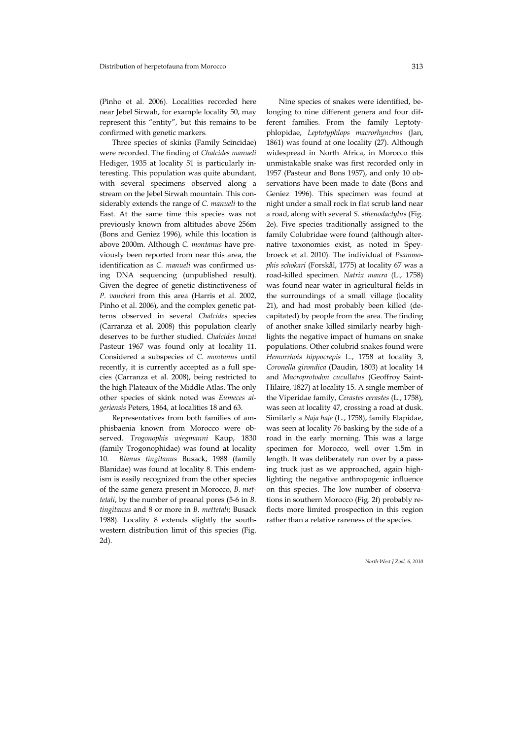(Pinho et al. 2006). Localities recorded here near Jebel Sirwah, for example locality 50, may represent this "entity", but this remains to be confirmed with genetic markers.

Three species of skinks (Family Scincidae) were recorded. The finding of *Chalcides manueli*  Hediger, 1935 at locality 51 is particularly interesting. This population was quite abundant, with several specimens observed along a stream on the Jebel Sirwah mountain. This considerably extends the range of *C. manueli* to the East. At the same time this species was not previously known from altitudes above 256m (Bons and Geniez 1996), while this location is above 2000m. Although *C. montanus* have previously been reported from near this area, the identification as *C. manueli* was confirmed using DNA sequencing (unpublished result). Given the degree of genetic distinctiveness of *P. vaucheri* from this area (Harris et al. 2002, Pinho et al. 2006), and the complex genetic patterns observed in several *Chalcides* species (Carranza et al. 2008) this population clearly deserves to be further studied. *Chalcides lanzai*  Pasteur 1967 was found only at locality 11. Considered a subspecies of *C. montanus* until recently, it is currently accepted as a full species (Carranza et al. 2008), being restricted to the high Plateaux of the Middle Atlas. The only other species of skink noted was *Eumeces algeriensis* Peters, 1864, at localities 18 and 63.

Representatives from both families of amphisbaenia known from Morocco were observed. *Trogonophis wiegmanni* Kaup, 1830 (family Trogonophidae) was found at locality 10. *Blanus tingitanus* Busack, 1988 (family Blanidae) was found at locality 8. This endemism is easily recognized from the other species of the same genera present in Morocco, *B. mettetali*, by the number of preanal pores (5-6 in *B. tingitanus* and 8 or more in *B. mettetali*; Busack 1988). Locality 8 extends slightly the southwestern distribution limit of this species (Fig. 2d).

Nine species of snakes were identified, belonging to nine different genera and four different families. From the family Leptotyphlopidae, *Leptotyphlops macrorhynchus* (Jan, 1861) was found at one locality (27). Although widespread in North Africa, in Morocco this unmistakable snake was first recorded only in 1957 (Pasteur and Bons 1957), and only 10 observations have been made to date (Bons and Geniez 1996). This specimen was found at night under a small rock in flat scrub land near a road, along with several *S. sthenodactylus* (Fig. 2e). Five species traditionally assigned to the family Colubridae were found (although alternative taxonomies exist, as noted in Speybroeck et al. 2010). The individual of *Psammophis schokari* (Forskål, 1775) at locality 67 was a road-killed specimen. *Natrix maura* (L., 1758) was found near water in agricultural fields in the surroundings of a small village (locality 21), and had most probably been killed (decapitated) by people from the area. The finding of another snake killed similarly nearby highlights the negative impact of humans on snake populations. Other colubrid snakes found were *Hemorrhois hippocrepis* L., 1758 at locality 3, *Coronella girondica* (Daudin, 1803) at locality 14 and *Macroprotodon cucullatus* (Geoffroy Saint-Hilaire, 1827) at locality 15. A single member of the Viperidae family, *Cerastes cerastes* (L., 1758), was seen at locality 47, crossing a road at dusk. Similarly a *Naja haje* (L., 1758), family Elapidae, was seen at locality 76 basking by the side of a road in the early morning. This was a large specimen for Morocco, well over 1.5m in length. It was deliberately run over by a passing truck just as we approached, again highlighting the negative anthropogenic influence on this species. The low number of observations in southern Morocco (Fig. 2f) probably reflects more limited prospection in this region rather than a relative rareness of the species.

*North-West J Zool, 6, 2010*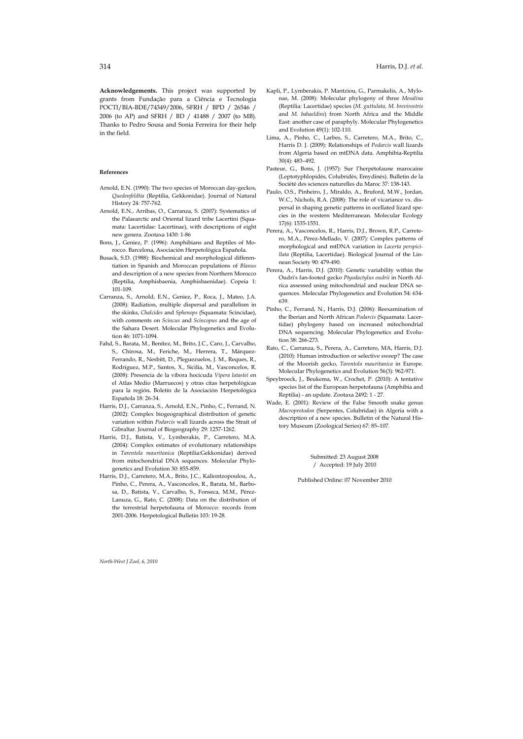**Acknowledgements.** This project was supported by grants from Fundação para a Ciência e Tecnologia POCTI/BIA-BDE/74349/2006, SFRH / BPD / 26546 / 2006 (to AP) and SFRH / BD / 41488 / 2007 (to MB). Thanks to Pedro Sousa and Sonia Ferreira for their help in the field.

## **References**

- Arnold, E.N. (1990): The two species of Moroccan day-geckos, *Quedenfeldtia* (Reptilia, Gekkonidae). Journal of Natural History 24: 757-762.
- Arnold, E.N., Arribas, O., Carranza, S. (2007): Systematics of the Palaearctic and Oriental lizard tribe Lacertini (Squamata: Lacertidae: Lacertinae), with descriptions of eight new genera. Zootaxa 1430: 1-86
- Bons, J., Geniez, P. (1996): Amphibians and Reptiles of Morocco. Barcelona, Asociación Herpetológica Española.
- Busack, S.D. (1988): Biochemical and morphological differentiation in Spanish and Moroccan populations of *Blanus* and description of a new species from Northern Morocco (Reptilia, Amphisbaenia, Amphisbaenidae). Copeia 1: 101-109.
- Carranza, S., Arnold, E.N., Geniez, P., Roca, J., Mateo, J.A. (2008): Radiation, multiple dispersal and parallelism in the skinks, *Chalcides* and *Sphenops* (Squamata: Scincidae), with comments on *Scincus* and *Scincopus* and the age of the Sahara Desert. Molecular Phylogenetics and Evolution 46: 1071-1094.
- Fahd, S., Barata, M., Benítez, M., Brito, J.C., Caro, J., Carvalho, S., Chirosa, M., Feriche, M., Herrera, T., Márquez-Ferrando, R., Nesbitt, D., Pleguezuelos, J. M., Reques, R., Rodríguez, M.P., Santos, X., Sicilia, M., Vasconcelos, R. (2008): Presencia de la víbora hocicuda *Vipera latastei* en el Atlas Medio (Marruecos) y otras citas herpetológicas para la región*.* Boletín de la Asociación Herpetológica Española 18: 26-34.
- Harris, D.J., Carranza, S., Arnold, E.N., Pinho, C., Ferrand, N. (2002): Complex biogeographical distribution of genetic variation within *Podarcis* wall lizards across the Strait of Gibraltar. Journal of Biogeography 29: 1257-1262.
- Harris, D.J., Batista, V., Lymberakis, P., Carretero, M.A. (2004): Complex estimates of evolutionary relationships in *Tarentola mauritanica* (Reptilia:Gekkonidae) derived from mitochondrial DNA sequences. Molecular Phylogenetics and Evolution 30: 855-859.
- Harris, D.J., Carretero, M.A., Brito, J.C., Kaliontzopoulou, A., Pinho, C., Perera, A., Vasconcelos, R., Barata, M., Barbosa, D., Batista, V., Carvalho, S., Fonseca, M.M., Pérez-Lanuza, G., Rato, C. (2008): Data on the distribution of the terrestrial herpetofauna of Morocco: records from 2001-2006. Herpetological Bulletin 103: 19-28.

Kapli, P., Lymberakis, P. Mantziou, G., Parmakelis, A., Mylonas, M. (2008): Molecular phylogeny of three *Mesalina* (Reptilia: Lacertidae) species (*M. guttulata, M. brevirostris* and *M. bahaeldini*) from North Africa and the Middle East: another case of paraphyly. Molecular Phylogenetics and Evolution 49(1): 102-110.

- Lima, A., Pinho, C., Larbes, S., Carretero, M.A., Brito, C., Harris D. J. (2009): Relationships of *Podarcis* wall lizards from Algeria based on mtDNA data. Amphibia-Reptilia 30(4): 483–492.
- Pasteur, G., Bons, J. (1957): Sur l'herpétofaune marocaine (Leptotyphlopidés, Colubridés, Emydinés). Bulletin de la Société des sciences naturelles du Maroc 37: 138-143.
- Paulo, O.S., Pinheiro, J., Miraldo, A., Bruford, M.W., Jordan, W.C., Nichols, R.A. (2008): The role of vicariance vs. dispersal in shaping genetic patterns in ocellated lizard species in the western Mediterranean. Molecular Ecology 17(6): 1535-1551.
- Perera, A., Vasconcelos, R., Harris, D.J., Brown, R.P., Carretero, M.A., Pérez-Mellado, V. (2007): Complex patterns of morphological and mtDNA variation in *Lacerta perspicillata* (Reptilia, Lacertidae). Biological Journal of the Linnean Society 90: 479-490.
- Perera, A., Harris, D.J. (2010): Genetic variability within the Oudri's fan-footed gecko *Ptyodactylus oudrii* in North Africa assessed using mitochondrial and nuclear DNA sequences. Molecular Phylogenetics and Evolution 54: 634- 639.
- Pinho, C., Ferrand, N., Harris, D.J. (2006): Reexamination of the Iberian and North African *Podarcis* (Squamata: Lacertidae) phylogeny based on increased mitochondrial DNA sequencing. Molecular Phylogenetics and Evolution 38: 266-273.
- Rato, C., Carranza, S., Perera, A., Carretero, MA, Harris, D.J. (2010): Human introduction or selective sweep? The case of the Moorish gecko, *Tarentola mauritanica* in Europe. Molecular Phylogenetics and Evolution 56(3): 962-971.
- Speybroeck, J., Beukema, W., Crochet, P. (2010): A tentative species list of the European herpetofauna (Amphibia and Reptilia) - an update. Zootaxa 2492: 1 - 27.
- Wade, E. (2001): Review of the False Smooth snake genus *Macroprotodon* (Serpentes, Colubridae) in Algeria with a description of a new species. Bulletin of the Natural History Museum (Zoological Series) 67: 85–107.

Submitted: 23 August 2008 / Accepted: 19 July 2010

Published Online: 07 November 2010

*North-West J Zool, 6, 2010*